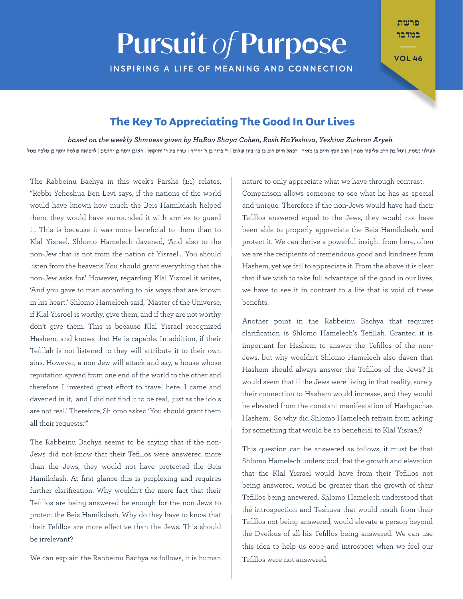## **Pursuit of Purpose**

**INSPIRING A LIFE OF MEANING AND CONNECTION** 

במדבר

פרשת

**46 VOL**

## **The Key To Appreciating The Good In Our Lives**

*Aryeh Zichron Yeshiva ,HaYeshiva Rosh ,Cohen Shaya HaRav by given Shmuess weekly the on based* לעילוי נשמת גיטל בת הרב אליעזר מנוח | הרב יוסף חיים בן מאיר | רפאל חיים דוב בן בן בן מאיר דוב בן ר' יהודה | שרה בת ר' יחזקאל | ראובן יוסף בן יהושע | לרפואה שלמה יוסף בן מלכה מטל

The Rabbeinu Bachya in this week's Parsha (1:1) relates, "Rebbi Yehoshua Ben Levi says, if the nations of the world would have known how much the Beis Hamikdash helped them, they would have surrounded it with armies to quard it. This is because it was more beneficial to them than to Klal Yisrael. Shlomo Hamelech davened, 'And also to the non-Jew that is not from the nation of Yisrael... You should listen from the heavens..You should grant everything that the non-Jew asks for.' However, regarding Klal Yisroel it writes, 'And you gave to man according to his ways that are known in his heart.' Shlomo Hamelech said. 'Master of the Universe. if Klal Yisroel is worthy, give them, and if they are not worthy don't give them. This is because Klal Yisrael recognized Hashem, and knows that He is capable. In addition, if their Tefillah is not listened to they will attribute it to their own sins. However, a non-Jew will attack and say, a house whose reputation spread from one end of the world to the other and therefore I invested great effort to travel here. I came and davened in it, and I did not find it to be real, just as the idols are not real.' Therefore, Shlomo asked 'You should grant them all their requests.""

Jews did not know that their Tefillos were answered more The Rabbeinu Bachya seems to be saying that if the nonthan the Jews, they would not have protected the Beis Hamikdash. At first glance this is perplexing and requires further clarification. Why wouldn't the mere fact that their Tefillos are being answered be enough for the non-Jews to protect the Beis Hamikdash. Why do they have to know that their Tefillos are more effective than the Jews. This should be irrelevant?

We can explain the Rabbeinu Bachya as follows, it is human

nature to only appreciate what we have through contrast.

Comparison allows someone to see what he has as special and unique. Therefore if the non-Jews would have had their Tefillos answered equal to the Jews, they would not have been able to properly appreciate the Beis Hamikdash, and protect it. We can derive a powerful insight from here, often we are the recipients of tremendous good and kindness from Hashem, yet we fail to appreciate it. From the above it is clear that if we wish to take full advantage of the good in our lives, we have to see it in contrast to a life that is void of these .benefits

Another point in the Rabbeinu Bachya that requires clarification is Shlomo Hamelech's Tefillah. Granted it is Jews, but why wouldn't Shlomo Hamelech also daven that important for Hashem to answer the Tefillos of the non-Hashem should always answer the Tefillos of the Jews? It would seem that if the Jews were living in that reality, surely their connection to Hashem would increase, and they would be elevated from the constant manifestation of Hashgachas Hashem. So why did Shlomo Hamelech refrain from asking for something that would be so beneficial to Klal Yisrael?

This question can be answered as follows, it must be that Shlomo Hamelech understood that the growth and elevation that the Klal Yisrael would have from their Tefillos not being answered, would be greater than the growth of their Tefillos being answered. Shlomo Hamelech understood that the introspection and Teshuva that would result from their Tefillos not being answered, would elevate a person beyond the Dveikus of all his Tefillos being answered. We can use this idea to help us cope and introspect when we feel our Tefillos were not answered.